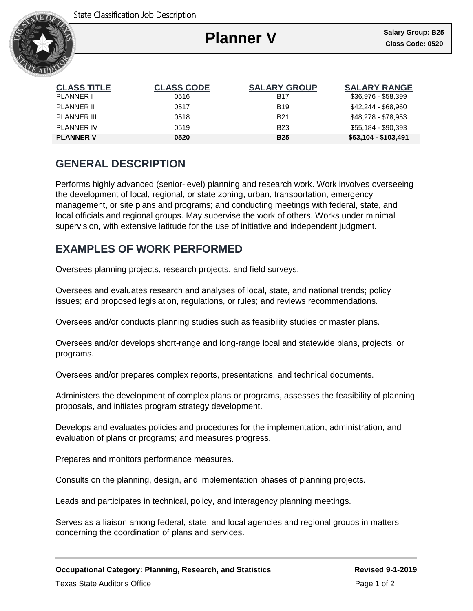

# **Planner V**

Ι

| <b>CLASS TITLE</b> | <b>CLASS CODE</b> | <b>SALARY GROUP</b> | <b>SALARY RANGE</b>  |
|--------------------|-------------------|---------------------|----------------------|
| <b>PLANNER I</b>   | 0516              | <b>B17</b>          | $$36,976 - $58,399$  |
| PLANNER II         | 0517              | <b>B</b> 19         | \$42,244 - \$68,960  |
| PLANNER III        | 0518              | <b>B21</b>          | \$48,278 - \$78,953  |
| PLANNER IV         | 0519              | <b>B23</b>          | $$55,184 - $90,393$  |
| <b>PLANNER V</b>   | 0520              | <b>B25</b>          | \$63,104 - \$103,491 |

## **GENERAL DESCRIPTION**

Performs highly advanced (senior-level) planning and research work. Work involves overseeing the development of local, regional, or state zoning, urban, transportation, emergency management, or site plans and programs; and conducting meetings with federal, state, and local officials and regional groups. May supervise the work of others. Works under minimal supervision, with extensive latitude for the use of initiative and independent judgment.

### **EXAMPLES OF WORK PERFORMED**

Oversees planning projects, research projects, and field surveys.

Oversees and evaluates research and analyses of local, state, and national trends; policy issues; and proposed legislation, regulations, or rules; and reviews recommendations.

Oversees and/or conducts planning studies such as feasibility studies or master plans.

Oversees and/or develops short-range and long-range local and statewide plans, projects, or programs.

Oversees and/or prepares complex reports, presentations, and technical documents.

Administers the development of complex plans or programs, assesses the feasibility of planning proposals, and initiates program strategy development.

Develops and evaluates policies and procedures for the implementation, administration, and evaluation of plans or programs; and measures progress.

Prepares and monitors performance measures.

Consults on the planning, design, and implementation phases of planning projects.

Leads and participates in technical, policy, and interagency planning meetings.

Serves as a liaison among federal, state, and local agencies and regional groups in matters concerning the coordination of plans and services.